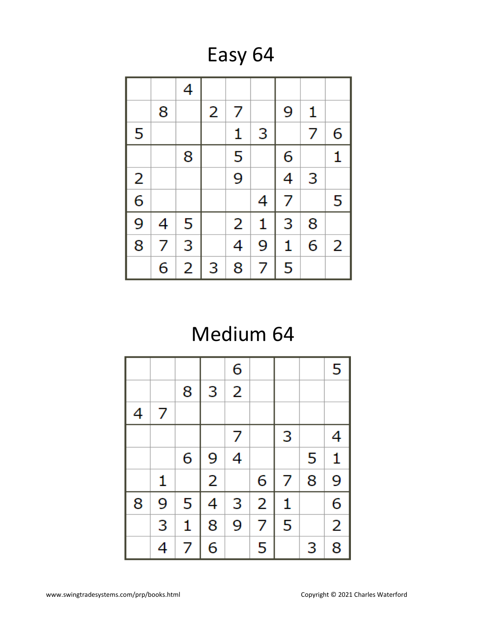Easy 64

|                         |   | 4 |   |                |   |   |   |   |
|-------------------------|---|---|---|----------------|---|---|---|---|
|                         | 8 |   | 2 | 7              |   | 9 | 1 |   |
| 5                       |   |   |   | 1              | 3 |   | 7 | 6 |
|                         |   | 8 |   | 5              |   | 6 |   | 1 |
| $\overline{\mathbf{c}}$ |   |   |   | 9              |   | 4 | 3 |   |
| $\overline{6}$          |   |   |   |                | 4 | 7 |   | 5 |
| 9                       | 4 | 5 |   | $\overline{2}$ | 1 | 3 | 8 |   |
| $\overline{8}$          | 7 | 3 |   | 4              | 9 | 1 | 6 | 2 |
|                         | 6 | 2 | 3 | 8              | 7 | 5 |   |   |

# Medium 64

|   |   |              |                | 6              |                         |   |   | 5              |
|---|---|--------------|----------------|----------------|-------------------------|---|---|----------------|
|   |   | 8            | 3              | $\overline{2}$ |                         |   |   |                |
| 4 | 7 |              |                |                |                         |   |   |                |
|   |   |              |                | 7              |                         | 3 |   | 4              |
|   |   | 6            | 9              | 4              |                         |   | 5 | 1              |
|   | 1 |              | $\overline{2}$ |                | 6                       | 7 | 8 | 9              |
| 8 | 9 | 5            | 4              | 3              | $\overline{\mathbf{c}}$ | 1 |   | 6              |
|   | 3 | $\mathbf{1}$ | 8              | 9              | 7                       | 5 |   | $\overline{2}$ |
|   | 4 | 7            | 6              |                | 5                       |   | 3 | 8              |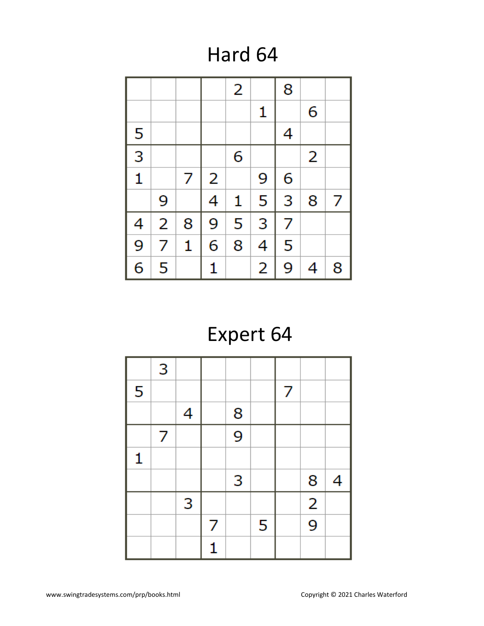### Hard 64

|                         |   |   |   | 2 |   | 8 |   |   |
|-------------------------|---|---|---|---|---|---|---|---|
|                         |   |   |   |   | 1 |   | 6 |   |
| 5                       |   |   |   |   |   | 4 |   |   |
| $\overline{3}$          |   |   |   | 6 |   |   | 2 |   |
| $\overline{\mathbf{1}}$ |   | 7 | 2 |   | 9 | 6 |   |   |
|                         | 9 |   | 4 | 1 | 5 | 3 | 8 | 7 |
| 4                       | 2 | 8 | 9 | 5 | 3 | 7 |   |   |
| 9                       | 7 | 1 | 6 | 8 | 4 | 5 |   |   |
| 6                       | 5 |   | 1 |   | 2 | 9 | 4 | 8 |

# Expert 64

|   | 3 |   |   |                |   |   |               |   |
|---|---|---|---|----------------|---|---|---------------|---|
| 5 |   |   |   |                |   | 7 |               |   |
|   |   | 4 |   | 8              |   |   |               |   |
|   | 7 |   |   | $\overline{9}$ |   |   |               |   |
| 1 |   |   |   |                |   |   |               |   |
|   |   |   |   | 3              |   |   | 8             | 4 |
|   |   | 3 |   |                |   |   | $\frac{2}{9}$ |   |
|   |   |   | 7 |                | 5 |   |               |   |
|   |   |   |   |                |   |   |               |   |